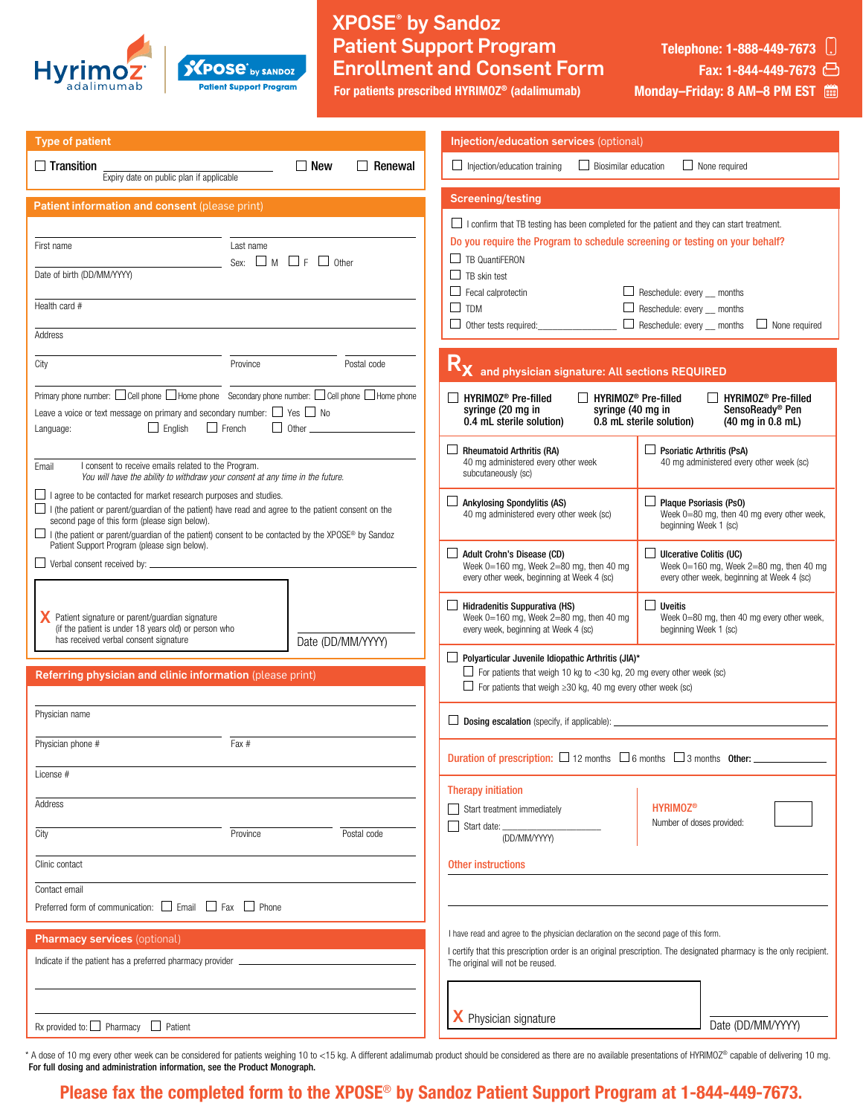

### XPOSE® by Sandoz Patient Support Program Enrollment and Consent Form **XPOSe**<sup>by SANDOZ</sup> **Patient Support Program**

For patients prescribed HYRIMOZ® (adalimumab)

Telephone: 1-888-449-7673 | Fax: 1-844-449-7673

Monday–Friday: 8 AM–8 PM EST

| <b>Type of patient</b>                                                                                                                                                                                                                                                                                                                                                                         |                   | Injection/education services (optional)                                                                                                                                                                                                                                                                                                                                                                                                                     |                                                                                                                                                                                                           |  |
|------------------------------------------------------------------------------------------------------------------------------------------------------------------------------------------------------------------------------------------------------------------------------------------------------------------------------------------------------------------------------------------------|-------------------|-------------------------------------------------------------------------------------------------------------------------------------------------------------------------------------------------------------------------------------------------------------------------------------------------------------------------------------------------------------------------------------------------------------------------------------------------------------|-----------------------------------------------------------------------------------------------------------------------------------------------------------------------------------------------------------|--|
| $\Box$ New<br>$\Box$ Renewal<br>$\Box$ Injection/education training<br>$\Box$ Biosimilar education<br>$\Box$ None required<br>$\Box$ Transition<br>Expiry date on public plan if applicable                                                                                                                                                                                                    |                   |                                                                                                                                                                                                                                                                                                                                                                                                                                                             |                                                                                                                                                                                                           |  |
| <b>Screening/testing</b><br>Patient information and consent (please print)                                                                                                                                                                                                                                                                                                                     |                   |                                                                                                                                                                                                                                                                                                                                                                                                                                                             |                                                                                                                                                                                                           |  |
| First name<br>Last name<br>Sex: $\Box$ M $\Box$ F $\Box$ Other<br>Date of birth (DD/MM/YYYY)<br>Health card #<br>Address                                                                                                                                                                                                                                                                       |                   | $\Box$ I confirm that TB testing has been completed for the patient and they can start treatment.<br>Do you require the Program to schedule screening or testing on your behalf?<br>$\Box$ TB QuantiFERON<br>$\Box$ TB skin test<br>$\Box$ Reschedule: every $\_\$ months<br>$\Box$ Fecal calprotectin<br>$\square$ TDM<br>$\Box$ Reschedule: every $\Box$ months<br>$\Box$ Reschedule: every $\_\$ months<br>Other tests required:<br>$\Box$ None required |                                                                                                                                                                                                           |  |
| City<br>Province                                                                                                                                                                                                                                                                                                                                                                               | Postal code       | R <sub>X</sub> and physician signature: All sections REQUIRED                                                                                                                                                                                                                                                                                                                                                                                               |                                                                                                                                                                                                           |  |
| Primary phone number: $\Box$ Cell phone $\Box$ Home phone Secondary phone number: $\Box$ Cell phone $\Box$ Home phone<br>Leave a voice or text message on primary and secondary number: $\Box$ Yes $\Box$ No<br>$\Box$ English<br>$\Box$ French<br>$\Box$ Other $\Box$<br>Language:                                                                                                            |                   | HYRIMOZ <sup>®</sup> Pre-filled<br>HYRIMOZ <sup>®</sup> Pre-filled<br>HYRIMOZ <sup>®</sup> Pre-filled<br>syringe (40 mg in<br>SensoReady® Pen<br>syringe (20 mg in<br>0.4 mL sterile solution)<br>0.8 mL sterile solution)<br>$(40 \text{ mg in } 0.8 \text{ mL})$<br>$\Box$ Rheumatoid Arthritis (RA)<br><b>Psoriatic Arthritis (PsA)</b>                                                                                                                  |                                                                                                                                                                                                           |  |
| I consent to receive emails related to the Program.<br>Email<br>You will have the ability to withdraw your consent at any time in the future.                                                                                                                                                                                                                                                  |                   | 40 mg administered every other week<br>subcutaneously (sc)                                                                                                                                                                                                                                                                                                                                                                                                  | 40 mg administered every other week (sc)                                                                                                                                                                  |  |
| $\Box$ I agree to be contacted for market research purposes and studies.<br>$\Box$ I (the patient or parent/quardian of the patient) have read and agree to the patient consent on the<br>second page of this form (please sign below).<br>□ I (the patient or parent/guardian of the patient) consent to be contacted by the XPOSE® by Sandoz<br>Patient Support Program (please sign below). |                   | $\Box$ Ankylosing Spondylitis (AS)<br>40 mg administered every other week (sc)                                                                                                                                                                                                                                                                                                                                                                              | $\Box$ Plaque Psoriasis (Ps0)<br>Week 0=80 mg, then 40 mg every other week,<br>beginning Week 1 (sc)                                                                                                      |  |
|                                                                                                                                                                                                                                                                                                                                                                                                |                   | $\Box$ Adult Crohn's Disease (CD)<br>Week 0=160 mg, Week 2=80 mg, then 40 mg<br>every other week, beginning at Week 4 (sc)                                                                                                                                                                                                                                                                                                                                  | $\Box$ Ulcerative Colitis (UC)<br>Week $0=160$ mg, Week $2=80$ mg, then 40 mg<br>every other week, beginning at Week 4 (sc)                                                                               |  |
| Patient signature or parent/guardian signature<br>(if the patient is under 18 years old) or person who<br>has received verbal consent signature                                                                                                                                                                                                                                                | Date (DD/MM/YYYY) | $\Box$ Hidradenitis Suppurativa (HS)<br>Week 0=160 mg, Week 2=80 mg, then 40 mg<br>every week, beginning at Week 4 (sc)                                                                                                                                                                                                                                                                                                                                     | $\Box$ Uveitis<br>Week 0=80 mg, then 40 mg every other week,<br>beginning Week 1 (sc)                                                                                                                     |  |
| $\Box$ Polyarticular Juvenile Idiopathic Arthritis (JIA)*<br>$\Box$ For patients that weigh 10 kg to <30 kg, 20 mg every other week (sc)<br>Referring physician and clinic information (please print)<br>$\Box$ For patients that weigh $\geq$ 30 kg, 40 mg every other week (sc)                                                                                                              |                   |                                                                                                                                                                                                                                                                                                                                                                                                                                                             |                                                                                                                                                                                                           |  |
| Physician name                                                                                                                                                                                                                                                                                                                                                                                 |                   | $\Box$ Dosing escalation (specify, if applicable): $\Box$                                                                                                                                                                                                                                                                                                                                                                                                   |                                                                                                                                                                                                           |  |
| Fax #<br>Physician phone #<br>License #                                                                                                                                                                                                                                                                                                                                                        |                   | Duration of prescription: $\Box$ 12 months $\Box$ 6 months $\Box$ 3 months 0ther:                                                                                                                                                                                                                                                                                                                                                                           |                                                                                                                                                                                                           |  |
| Address                                                                                                                                                                                                                                                                                                                                                                                        |                   | <b>Therapy initiation</b><br>Start treatment immediately<br>$\Box$ Start date: $\Box$                                                                                                                                                                                                                                                                                                                                                                       | <b>HYRIMOZ®</b><br>Number of doses provided:                                                                                                                                                              |  |
| City<br>Postal code<br>Province                                                                                                                                                                                                                                                                                                                                                                |                   | (DD/MM/YYYY)                                                                                                                                                                                                                                                                                                                                                                                                                                                |                                                                                                                                                                                                           |  |
| Clinic contact<br>Contact email<br>Preferred form of communication: $\Box$ Email $\Box$ Fax $\Box$ Phone                                                                                                                                                                                                                                                                                       |                   | Other instructions                                                                                                                                                                                                                                                                                                                                                                                                                                          |                                                                                                                                                                                                           |  |
| <b>Pharmacy services (optional)</b><br>Indicate if the patient has a preferred pharmacy provider                                                                                                                                                                                                                                                                                               |                   | The original will not be reused.                                                                                                                                                                                                                                                                                                                                                                                                                            | I have read and agree to the physician declaration on the second page of this form.<br>I certify that this prescription order is an original prescription. The designated pharmacy is the only recipient. |  |
| Rx provided to: $\Box$ Pharmacy $\Box$ Patient                                                                                                                                                                                                                                                                                                                                                 |                   | X Physician signature                                                                                                                                                                                                                                                                                                                                                                                                                                       | Date (DD/MM/YYYY)                                                                                                                                                                                         |  |

\* A dose of 10 mg every other week can be considered for patients weighing 10 to <15 kg. A different adalimumab product should be considered as there are no available presentations of HYRIMOZ® capable of delivering 10 mg. For full dosing and administration information, see the Product Monograph.

## Please fax the completed form to the XPOSE® by Sandoz Patient Support Program at 1-844-449-7673.